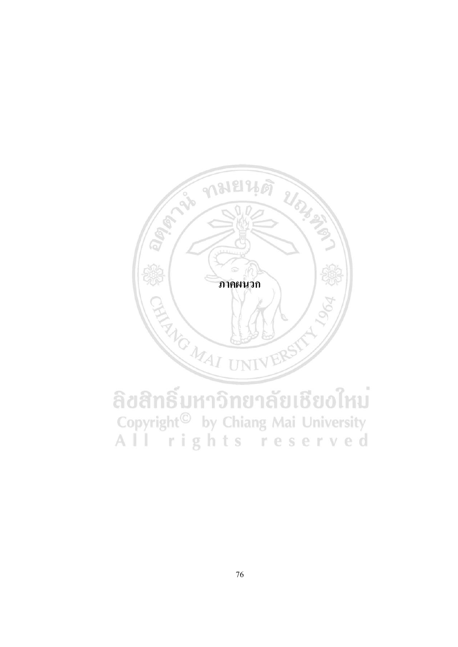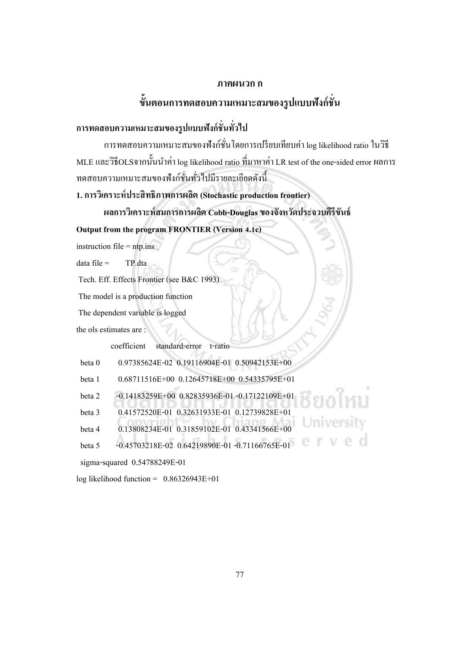#### **ภาคผนวกก**

#### **ข้นั ตอนการทดสอบความเหมาะสมของรูปแบบฟังก ชั่น ์**

# **การทดสอบความเหมาะสมของรูปแบบฟังก์ชั่นทวั่ ไป**

การทดสอบความเหมาะสมของฟังกช์ นั่ โดยการเปรียบเทียบค่า log likelihood ratio ในวิธี MLE และวิธีOLSจากนั้นนำค่า log likelihood ratio ที่มาหาค่า LR test of the one-sided error ผลการ ทดสอบความเหมาะสมของฟังกช์ นั่ ทวั่ ไปมีรายละเอียดดงัน้ี

**1. การวิเคราะห์ประสิทธิภาพการผลิต (Stochastic production frontier)** 

**ผลการวิเคราะห์สมการการผลิต Cobb-Douglas ของจังหวัดประจวบคีรีขันธ์**

**Output from the program FRONTIER (Version 4.1c)**

 $\text{instruction file} = \text{ntp}.\text{ins}$ 

 $data file = TP.data$ 

Tech. Eff. Effects Frontier (see B&C 1993)

The model is a production function

The dependent variable is logged

the ols estimates are :

coefficient standard-error t-ratio

beta 0 0.97385624E-02 0.19116904E-01 0.50942153E+00

beta 1 0.68711516E+00 0.12645718E+00 0.54335795E+01

beta 2 -0.14183259E+00 0.82835936E-01 -0.17122109E+01

beta 3 0.41572520E-01 0.32631933E-01 0.12739828E+01

beta 4 0.13808234E-01 0.31859102E-01 0.43341566E+00

beta 5 -0.45703218E-02 0.64219890E-01 -0.71166765E-01

sigma-squared 0.54788249E-01

log likelihood function =  $0.86326943E+01$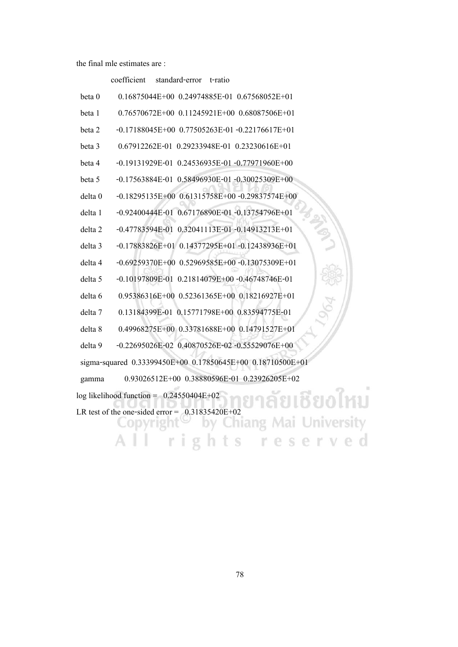coefficient standard-error t-ratio

| beta 0             | $0.16875044E+00$ $0.24974885E-01$ $0.67568052E+01$         |
|--------------------|------------------------------------------------------------|
| beta 1             | 0.76570672E+00 0.11245921E+00 0.68087506E+01               |
| beta 2             | $-0.17188045E+00$ $0.77505263E-01$ $-0.22176617E+01$       |
| beta 3             | 0.67912262E-01 0.29233948E-01 0.23230616E+01               |
| beta 4             | $-0.19131929E - 01$ $0.24536935E - 01$ $-0.77971960E + 00$ |
| beta 5             | $-0.17563884E -01$ $0.58496930E -01 -0.30025309E +00$      |
| delta 0            | $-0.18295135E+00$ $0.61315758E+00$ $-0.29837574E+00$       |
| delta 1            | -0.92400444E-01 0.67176890E-01 -0.13754796E+01             |
| delta <sub>2</sub> | -0.47783594E-01 0.32041113E-01 -0.14913213E+01             |
| delta 3            | $-0.17883826E+01$ 0.14377295E+01 $-0.12438936E+01$         |
| delta 4            | $-0.69259370E+00$ $0.52969585E+00$ $-0.13075309E+01$       |
| delta 5            | $-0.10197809E - 01$ $0.21814079E + 00$ $-0.46748746E - 01$ |
| delta 6            | 0.95386316E+00 0.52361365E+00 0.18216927E+01               |
| delta 7            | 0.13184399E-01 0.15771798E+00 0.83594775E-01               |
| delta 8            | 0.49968275E+00 0.33781688E+00 0.14791527E+01               |
| delta 9            | $-0.22695026E - 02$ 0.40870526E-02 -0.55529076E+00         |
|                    | sigma-squared 0.33399450E+00 0.17850645E+00 0.18710500E+01 |
| gamma              | 0.93026512E+00 0.38880596E-01 0.23926205E+02               |
|                    | $log$ likelihood function = $0.24550404E+02$<br>เชียงไหม   |
|                    | LR test of the one-sided error = $0.31835420E+02$          |
|                    | University                                                 |
|                    |                                                            |
|                    |                                                            |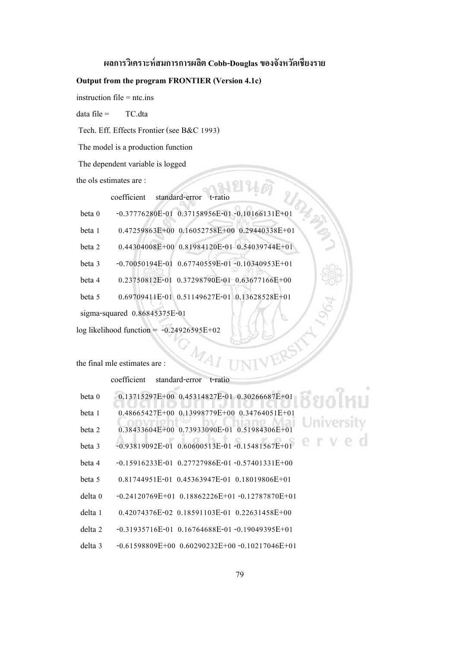## **ผลการวิเคราะห์สมการการผลิต Cobb-Douglas ของจังหวัดเชียงราย**

#### **Output from the program FRONTIER (Version 4.1c)**

instruction file = ntc.ins

 $data file = TC.data$ 

Tech. Eff. Effects Frontier (see B&C 1993)

The model is a production function

The dependent variable is logged

the ols estimates are :

coefficient standard-error

| beta 0 | $-0.37776280E-01$ 0.37158956E-01-0.10166131E+01      |
|--------|------------------------------------------------------|
| beta 1 | 0.47259863E+00 0.16052758E+00 0.29440338E+01         |
| beta 2 | 0.44304008E+00 0.81984120E-01 0.54039744E+01         |
| beta 3 | $-0.70050194E-01$ $0.67740559E-01$ $-0.10340953E+01$ |
| beta 4 | 0.23750812E-01 0.37298790E-01 0.63677166E+00         |
| beta 5 | 0.69709411E-01 0.51149627E-01 0.13628528E+01         |
|        | sigma-squared $0.86845375E-01$                       |
|        | $log$ likelihood function = $-0.24926595E+02$        |

the final mle estimates are :

coefficient standard-error t-ratio

| beta 0  | $0.13715297E+00$ $0.45314827E-01$ $0.30266687E+01$   |
|---------|------------------------------------------------------|
| beta 1  | $0.48665427E+00$ $0.13998779E+00$ $0.34764051E+01$   |
| beta 2  | 0.38433604E+00 0.73933090E-01 0.51984306E+01         |
| beta 3  | $-0.93819092E-01$ $0.60600513E-01 -0.15481567E+01$   |
| beta 4  | $-0.15916233E-01$ $0.27727986E-01$ $-0.57401331E+00$ |
| beta 5  | 0.81744951E-01 0.45363947E-01 0.18019806E+01         |
| delta 0 | $-0.24120769E+01$ 0.18862226E+01 $-0.12787870E+01$   |
| delta 1 | $0.42074376E-02$ $0.18591103E-01$ $0.22631458E+00$   |
| delta 2 | $-0.31935716E-01$ 0.16764688E-01 -0.19049395E+01     |
| delta 3 | $-0.61598809E+00$ $0.60290232E+00$ $-0.10217046E+01$ |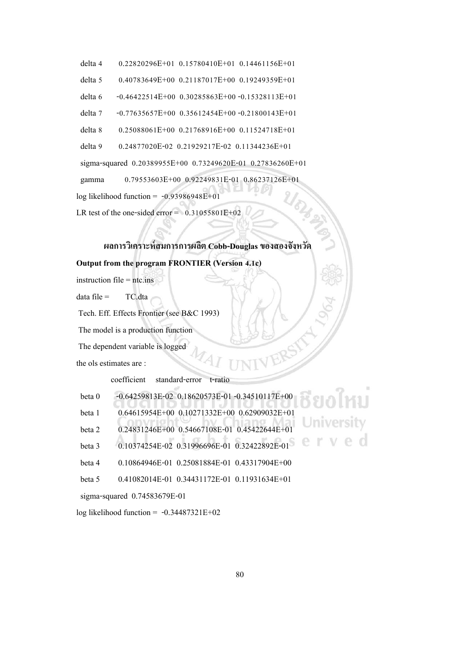- delta 4 0.22820296E+01 0.15780410E+01 0.14461156E+01
- delta 5 0.40783649E+00 0.21187017E+00 0.19249359E+01
- delta 6 -0.46422514E+00 0.30285863E+00 -0.15328113E+01
- delta 7 -0.77635657E+00 0.35612454E+00 -0.21800143E+01
- delta 8 0.25088061E+00 0.21768916E+00 0.11524718E+01

```
 delta 9 0.24877020E-02 0.21929217E-02 0.11344236E+01
```
sigma-squared 0.20389955E+00 0.73249620E-01 0.27836260E+01

gamma 0.79553603E+00 0.92249831E-01 0.86237126E+01

log likelihood function =  $-0.93986948E+01$ 

LR test of the one-sided error =  $0.31055801E+02$ 

## **ผลการวิเคราะห์สมการการผลิต Cobb-Douglas ของสองจังหวัด**

#### **Output from the program FRONTIER (Version 4.1c)**

instruction file = ntc.ins

data file = TC.dta

Tech. Eff. Effects Frontier (see B&C 1993)

The model is a production function

The dependent variable is logged

the ols estimates are :

coefficient standard-error t-ratio

| beta 0 | $-0.64259813E-02$ $0.18620573E-01$ $-0.34510117E+00$ |  |
|--------|------------------------------------------------------|--|
| beta 1 | $0.64615954E+00$ $0.10271332E+00$ $0.62909032E+01$   |  |
| beta 2 | 0.24831246E+00  0.54667108E-01  0.45422644E+01       |  |
| beta 3 | 0.10374254E-02 0.31996696E-01 0.32422892E-01         |  |
| beta 4 | 0.10864946E-01 0.25081884E-01 0.43317904E+00         |  |
| beta 5 | 0.41082014E-01 0.34431172E-01 0.11931634E+01         |  |

sigma-squared 0.74583679E-01

log likelihood function =  $-0.34487321E+02$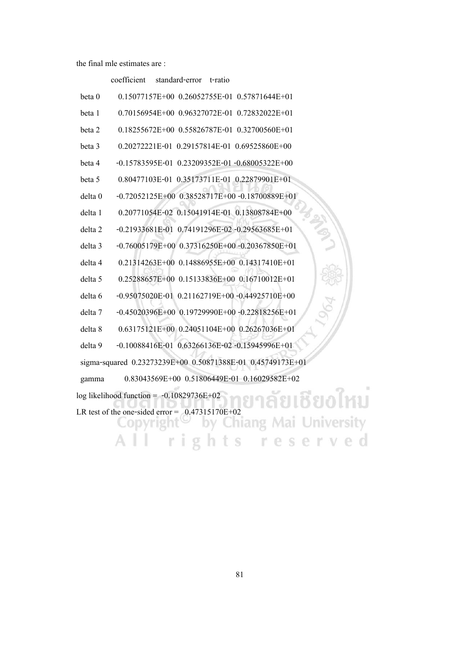#### coefficient standard-error t-ratio

| beta 0             | 0.15077157E+00 0.26052755E-01 0.57871644E+01               |
|--------------------|------------------------------------------------------------|
| beta 1             | 0.70156954E+00 0.96327072E-01 0.72832022E+01               |
| beta 2             | 0.18255672E+00 0.55826787E-01 0.32700560E+01               |
| beta 3             | 0.20272221E-01 0.29157814E-01 0.69525860E+00               |
| beta 4             | $-0.15783595E-01$ $0.23209352E-01$ $-0.68005322E+00$       |
| beta 5             | 0.80477103E-01 0.35173711E-01 0.22879901E+01               |
| delta 0            | $-0.72052125E+00$ $0.38528717E+00$ $-0.18700889E+01$       |
| delta 1            | 0.20771054E-02 0.15041914E-01 0.13808784E+00               |
| delta <sub>2</sub> | -0.21933681E-01 0.74191296E-02 -0.29563685E+01             |
| delta 3            | $-0.76005179E+00$ $0.37316250E+00$ $-0.20367850E+01$       |
| delta 4            | 0.21314263E+00 0.14886955E+00 0.14317410E+01               |
| delta 5            | 0.25288657E+00 0.15133836E+00 0.16710012E+01               |
| delta 6            | $-0.95075020E -01$ 0.21162719E+00 $-0.44925710E +00$       |
| delta 7            | $-0.45020396E+00$ $0.19729990E+00$ $-0.22818256E+01$       |
| delta 8            | 0.63175121E+00 0.24051104E+00 0.26267036E+01               |
| delta 9            | -0.10088416E-01 0.63266136E-02 -0.15945996E+01             |
|                    | sigma-squared 0.23273239E+00 0.50871388E-01 0.45749173E+01 |
| gamma              | 0.83043569E+00 0.51806449E-01 0.16029582E+02               |
|                    | log likelihood function = $-0.10829736E+02$                |
|                    | LR test of the one-sided error $=$<br>$0.47315170E+02$     |
|                    |                                                            |
|                    |                                                            |
|                    |                                                            |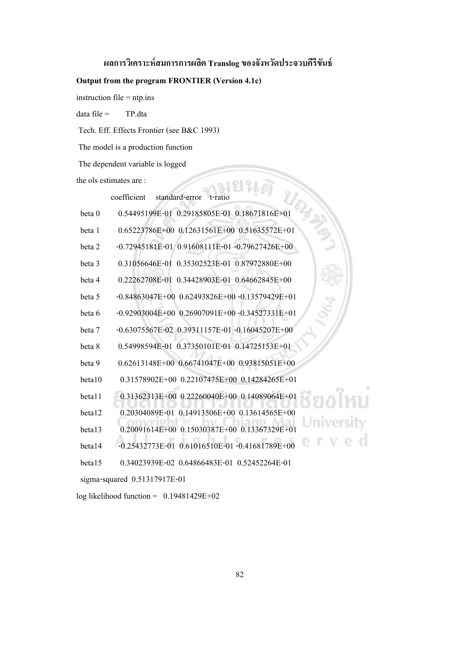#### **ผลการวิเคราะห์สมการการผลิต Translog ของจังหวัดประจวบคีรีขันธ์**

#### **Output from the program FRONTIER (Version 4.1c)**

instruction file  $=$  ntp.ins

 $data file = TP.data$ 

Tech. Eff. Effects Frontier (see B&C 1993)

The model is a production function

The dependent variable is logged

the ols estimates are :

examples are :<br>coefficient standard-error t-ratio beta 0 0.54495199E-01 0.29185805E-01 0.18671816E+01 beta 1 0.65223786E+00 0.12631561E+00 0.51635572E+01 beta 2 -0.72945181E-01 0.91608111E-01 -0.79627426E+00 beta 3 0.31056646E-01 0.35302523E-01 0.87972880E+00 beta 4 0.22262708E-01 0.34428903E-01 0.64662845E+00 beta 5 -0.84863047E+00 0.62493826E+00 -0.13579429E+01 beta 6 -0.92903004E+00 0.26907091E+00 -0.34527331E+01 beta 7 -0.63075567E-02 0.39311157E-01 -0.16045207E+00 beta 8 0.54998594E-01 0.37350101E-01 0.14725153E+01 beta 9 0.62613148E+00 0.66741047E+00 0.93815051E+00 beta10 0.31578902E+00 0.22107475E+00 0.14284265E+01 beta11 0.31362313E+00 0.22260040E+00 0.14089064E+01 កិទាក beta12 0.20304089E-01 0.14913506E+00 0.13614565E+00 beta13 0.20091614E+00 0.15030387E+00 0.13367329E+01 beta14 -0.25432773E-01 0.61016510E-01 -0.41681789E+00 beta15 0.34023939E-02 0.64866483E-01 0.52452264E-01

sigma-squared 0.51317917E-01

log likelihood function =  $0.19481429E+02$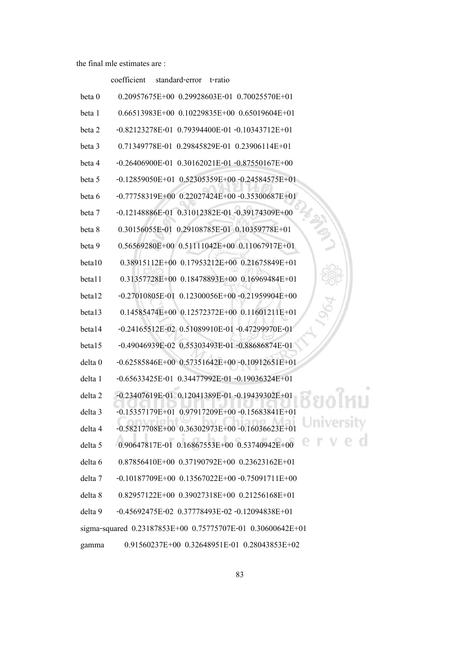coefficient standard-error t-ratio

| beta 0             | $0.20957675E+00$ $0.29928603E-01$ $0.70025570E+01$         |
|--------------------|------------------------------------------------------------|
| beta 1             | $0.66513983E+00$ $0.10229835E+00$ $0.65019604E+01$         |
| beta 2             | $-0.82123278E-01$ 0.79394400E-01 $-0.10343712E+01$         |
| beta 3             | 0.71349778E-01 0.29845829E-01 0.23906114E+01               |
| beta 4             | $-0.26406900E-01$ $0.30162021E-01$ $-0.87550167E+00$       |
| beta 5             | $-0.12859050E+01$ $0.52305359E+00$ $-0.24584575E+01$       |
| beta 6             | $-0.77758319E+00$ $0.22027424E+00$ $-0.35300687E+01$       |
| beta 7             | -0.12148886E-01 0.31012382E-01 -0.39174309E+00             |
| beta 8             | 0.30156055E-01 0.29108785E-01 0.10359778E+01               |
| beta 9             | $0.56569280E+00$ $0.51111042E+00$ $0.11067917E+01$         |
| beta10             | 0.38915112E+00 0.17953212E+00 0.21675849E+01               |
| betal1             | 0.31357728E+00 0.18478893E+00 0.16969484E+01               |
| beta12             | $-0.27010805E-01$ $0.12300056E+00$ $-0.21959904E+00$       |
| beta13             | 0.14585474E+00 0.12572372E+00 0.11601211E+01               |
| beta14             | -0.24165512E-02 0.51089910E-01 -0.47299970E-01             |
| beta15             | -0.49046939E-02 0.55303493E-01 -0.88686874E-01             |
| delta 0            | $-0.62585846E+00$ $0.57351642E+00$ $-0.10912651E+01$       |
| delta 1            | $-0.65633425E-01$ $0.34477992E-01$ $-0.19036324E+01$       |
| delta <sub>2</sub> | -0.23407619E-01 0.12041389E-01 -0.19439302E+01             |
| delta 3            | $-0.15357179E+01$ 0.97917209E+00 $-0.15683841E+01$         |
| delta 4            | -0.58217708E+00  0.36302973E+00  -0.16036623E+01           |
| delta 5            | 0.90647817E-01 0.16867553E+00 0.53740942E+00               |
| delta 6            | 0.87856410E+00 0.37190792E+00 0.23623162E+01               |
| delta 7            | $-0.10187709E+00$ $0.13567022E+00$ $-0.75091711E+00$       |
| delta 8            | 0.82957122E+00 0.39027318E+00 0.21256168E+01               |
| delta 9            | -0.45692475E-02 0.37778493E-02 -0.12094838E+01             |
|                    | sigma-squared 0.23187853E+00 0.75775707E-01 0.30600642E+01 |
| gamma              | 0.91560237E+00 0.32648951E-01 0.28043853E+02               |

ชียงใหม่ University<br>e r v e d

83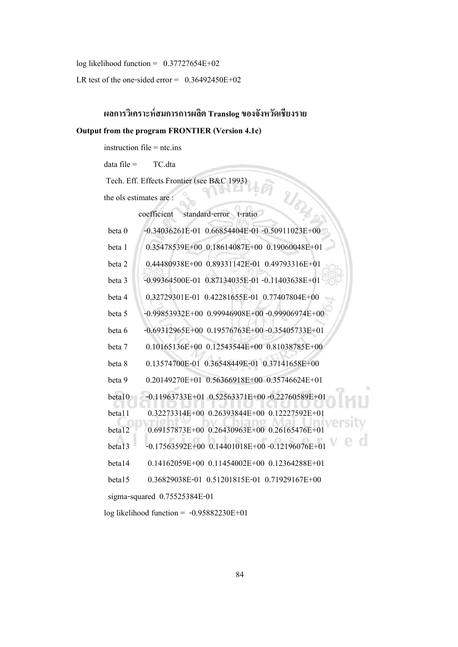log likelihood function = 0.37727654E+02

LR test of the one-sided error =  $0.36492450E+02$ 

# **ผลการวิเคราะห์สมการการผลิต Translog ของจังหวัดเชียงราย**

#### **Output from the program FRONTIER (Version 4.1c)**

instruction file = ntc.ins

 $data file = TC.data$ 

log likelihood function = -0.95882230E+01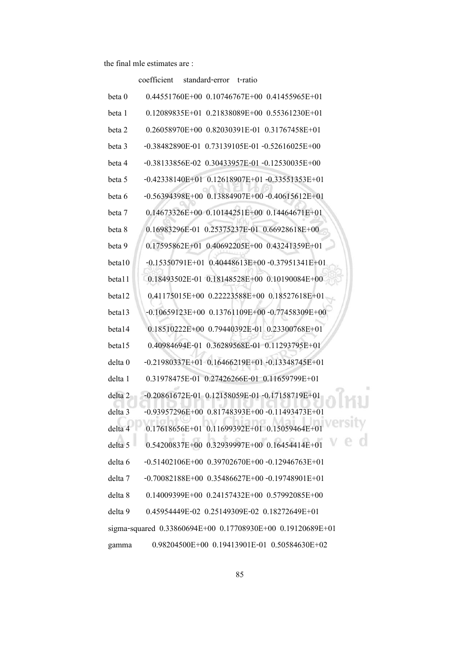|         | standard-error<br>coefficient<br>t-ratio                   |
|---------|------------------------------------------------------------|
| beta 0  | $0.44551760E+00$ $0.10746767E+00$ $0.41455965E+01$         |
| beta 1  | $0.12089835E+01$ $0.21838089E+00$ $0.55361230E+01$         |
| beta 2  | 0.26058970E+00 0.82030391E-01 0.31767458E+01               |
| beta 3  | -0.38482890E-01 0.73139105E-01 -0.52616025E+00             |
| beta 4  | $-0.38133856E - 02$ 0.30433957E-01 $-0.12530035E + 00$     |
| beta 5  | $-0.42338140E+01$ $0.12618907E+01$ $-0.33551353E+01$       |
| beta 6  | $-0.56394398E+00$ $0.13884907E+00$ $-0.40615612E+01$       |
| beta 7  | 0.14673326E+00 0.10144251E+00 0.14464671E+01               |
| beta 8  | 0.16983296E-01 0.25375237E-01 0.66928618E+00               |
| beta 9  | 0.17595862E+01 0.40692205E+00 0.43241359E+01               |
| beta10  | $-0.15350791E+01$ 0.40448613E+00 $-0.37951341E+01$         |
| beta11  | 0.18493502E-01 0.18148528E+00 0.10190084E+00               |
| beta12  | 0.41175015E+00 0.22223588E+00 0.18527618E+01               |
| beta13  | $-0.10659123E+00$ $0.13761109E+00$ $-0.77458309E+00$       |
| beta14  | 0.18510222E+00 0.79440392E-01 0.23300768E+01               |
| beta15  | 0.40984694E-01 0.36289568E-01 0.11293795E+01               |
| delta 0 | $-0.21980337E+01$ 0.16466219E+01 -0.13348745E+01           |
| delta 1 | 0.31978475E-01 0.27426266E-01 0.11659799E+01               |
| delta 2 | -0.20861672E-01 0.12158059E-01 -0.17158719E+01             |
| delta 3 | $-0.93957296E+00$ $0.81748393E+00$ $-0.11493473E+01$       |
| delta 4 | 0.17618656E+01 0.11699392E+01 0.15059464E+01               |
| delta 5 | 0.54200837E+00 0.32939997E+00 0.16454414E+01               |
| delta 6 | $-0.51402106E+00$ $0.39702670E+00$ $-0.12946763E+01$       |
| delta 7 | $-0.70082188E+00$ $0.35486627E+00$ $-0.19748901E+01$       |
| delta 8 | $0.14009399E+00$ $0.24157432E+00$ $0.57992085E+00$         |
| delta 9 | 0.45954449E-02 0.25149309E-02 0.18272649E+01               |
|         | sigma-squared 0.33860694E+00 0.17708930E+00 0.19120689E+01 |
| gamma   | 0.98204500E+00  0.19413901E-01  0.50584630E+02             |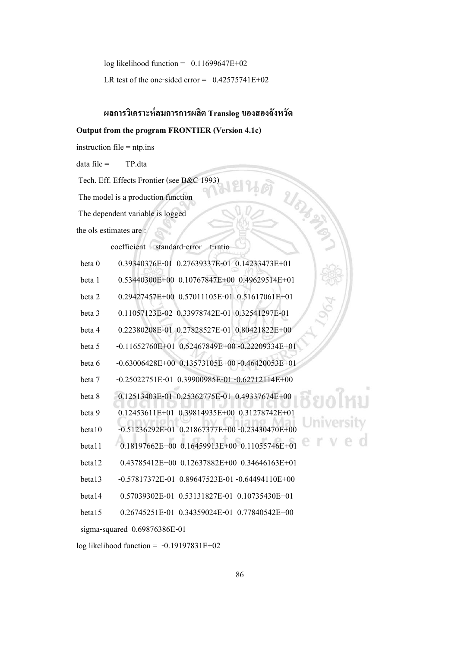log likelihood function =  $0.11699647E+02$ 

LR test of the one-sided error =  $0.42575741E+02$ 

# **ผลการวิเคราะห์สมการการผลิต Translog ของสองจังหวัด**

UCH 2N

#### **Output from the program FRONTIER (Version 4.1c)**

instruction file  $=$  ntp.ins

 $data file = TP.data$ 

Tech. Eff. Effects Frontier (see B&C 1993)

The model is a production function

The dependent variable is logged

the ols estimates are :

coefficient standard-error t-ratio

| beta 0 | 0.39340376E-01 0.27639337E-01 0.14233473E+01                  |
|--------|---------------------------------------------------------------|
| beta 1 | $0.53440300E+00$ $0.10767847E+00$ $0.49629514E+01$            |
| beta 2 | 0.29427457E+00 0.57011105E-01 0.51617061E+01                  |
| beta 3 | 0.11057123E-02 0.33978742E-01 0.32541297E-01                  |
| beta 4 | 0.22380208E-01 0.27828527E-01 0.80421822E+00                  |
| beta 5 | $-0.11652760E+01$ 0.52467849E+00 $-0.22209334E+01$            |
| beta 6 | $-0.63006428E+00$ $0.13573105E+00$ $-0.46420053E+01$          |
| beta 7 | $-0.25022751E-01$ $0.39900985E-01$ $-0.62712114E+00$          |
| beta 8 | 0.12513403E-01 0.25362775E-01 0.49337674E+00                  |
| beta 9 | $0.12453611E+01$ $0.39814935E+00$ $0.31278742E+01$            |
| beta10 | ivers<br>$-0.51236292E-01$ $0.21867377E+00$ $-0.23430470E+00$ |
| beta11 | 0.18197662E+00 0.16459913E+00 0.11055746E+01                  |
| beta12 | $0.43785412E+00$ $0.12637882E+00$ $0.34646163E+01$            |
| beta13 | $-0.57817372E-01$ $0.89647523E-01$ $-0.64494110E+00$          |
| beta14 | 0.57039302E-01 0.53131827E-01 0.10735430E+01                  |
| beta15 | $0.26745251E-01$ $0.34359024E-01$ $0.77840542E+00$            |
|        | sigma-squared $0.69876386E-01$                                |

log likelihood function = -0.19197831E+02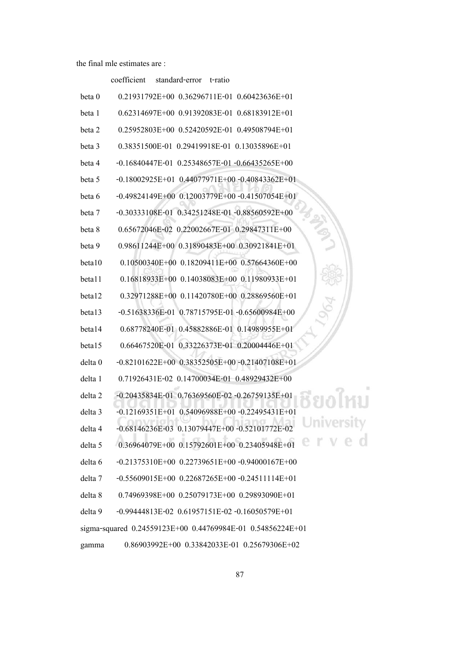#### coefficient standard-error t-ratio

| beta 0             | 0.21931792E+00 0.36296711E-01 0.60423636E+01               |
|--------------------|------------------------------------------------------------|
| beta 1             | $0.62314697E+00$ $0.91392083E-01$<br>$0.68183912E+01$      |
| beta 2             | 0.25952803E+00  0.52420592E-01  0.49508794E+01             |
| beta 3             | 0.38351500E-01 0.29419918E-01 0.13035896E+01               |
| beta 4             | $-0.16840447E-01$ 0.25348657E-01 $-0.66435265E+00$         |
| beta 5             | $-0.18002925E+01$ 0.44077971E+00 $-0.40843362E+01$         |
| beta 6             | $-0.49824149E+00$ $0.12003779E+00$ $-0.41507054E+01$       |
| beta 7             | $-0.30333108E -01$ $0.34251248E -01$ $-0.88560592E +00$    |
| beta 8             | 0.65672046E-02 0.22002667E-01 0.29847311E+00               |
| beta 9             | 0.98611244E+00 0.31890483E+00 0.30921841E+01               |
| beta10             | 0.10500340E+00  0.18209411E+00  0.57664360E+00             |
| beta11             | $0.16818933E+00$ $0.14038083E+00$ $0.11980933E+01$         |
| beta12             | 0.32971288E+00 0.11420780E+00 0.28869560E+01               |
| beta13             | $-0.51638336E -01$ 0.78715795E-01 -0.65600984E+00          |
| beta14             | 0.68778240E-01 0.45882886E-01 0.14989955E+01               |
| beta15             | 0.66467520E-01 0.33226373E-01 0.20004446E+01               |
| delta 0            | $-0.82101622E+00$ $0.38352505E+00$ $-0.21407108E+01$       |
| delta 1            | 0.71926431E-02 0.14700034E-01 0.48929432E+00               |
| delta <sub>2</sub> | $-0.20435834E-01$ 0.76369560E-02 $-0.26759135E+01$         |
| delta <sub>3</sub> | $-0.12169351E+01$<br>$0.54096988E+00 -0.22495431E+01$      |
| delta 4            | $-0.68146236E-03$ $0.13079447E+00$ $-0.52101772E-02$       |
| delta 5            | $0.36964079E+00$ $0.15792601E+00$ $0.23405948E+01$         |
| delta 6            | $-0.21375310E+00$ $0.22739651E+00$ $-0.94000167E+00$       |
| delta 7            | $-0.55609015E+00$ $0.22687265E+00$ $-0.24511114E+01$       |
| delta 8            | $0.74969398E+00$ $0.25079173E+00$ $0.29893090E+01$         |
| delta 9            | $-0.99444813E-02$ $0.61957151E-02$ $-0.16050579E+01$       |
|                    | sigma-squared 0.24559123E+00 0.44769984E-01 0.54856224E+01 |
| gamma              | 0.86903992E+00  0.33842033E-01  0.25679306E+02             |

# ชียงใหม่ University<br>e r v e d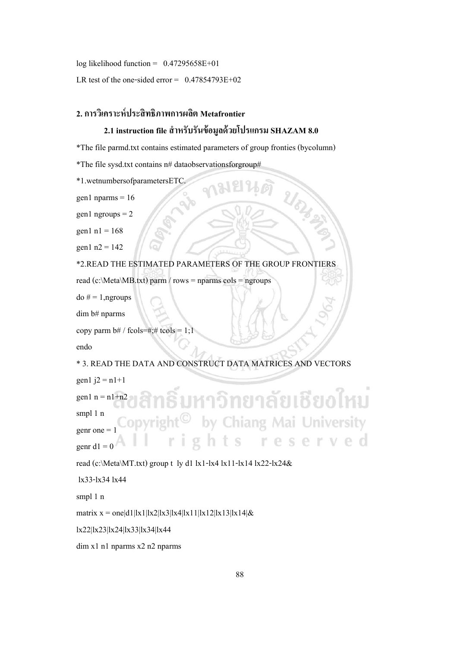log likelihood function =  $0.47295658E+01$ 

LR test of the one-sided error =  $0.47854793E+02$ 

## **2. การวิเคราะห์ประสิทธิภาพการผลิต Metafrontier**

# **2.1 instruction file ส าหรับรันข้อมูลด้วยโปรแกรม SHAZAM 8.0**

\*The file parmd.txt contains estimated parameters of group fronties (bycolumn)

\*The file sysd.txt contains n# dataobservationsforgroup#

\*1.wetnumbersofparametersETC.

gen1 nparms  $= 16$ 

 $gen1$  ngroups = 2

gen $1$  n $1 = 168$ 

gen $1 n2 = 142$ 

\*2.READ THE ESTIMATED PARAMETERS OF THE GROUP FRONTIERS

read (c:\Meta\MB.txt) parm / rows = nparms cols = ngroups

 $d$ o # = 1, ngroups

dim b# nparms

```
copy parm b# / f \text{cols} = #; # \text{tools} = 1;1
```
endo

\* 3. READ THE DATA AND CONSTRUCT DATA MATRICES AND VECTORS

```
gen1 j2 = n1+1
```
<u>่เหาวิทยาลัยเชียงไหม</u> gen $1$  n = n $1+n2$ smpl 1 n by Chiang Mai University genr one  $=$ eserved S genr d $1 = 0$ 

read (c:\Meta\MT.txt) group t ly d1 lx1-lx4 lx11-lx14 lx22-lx24&

lx33-lx34 lx44

smpl 1 n

matrix  $x = \text{one}|d1||x1||x2||x3||x4||x11||x12||x13||x14|&$ 

lx22|lx23|lx24|lx33|lx34|lx44

dim x1 n1 nparms x2 n2 nparms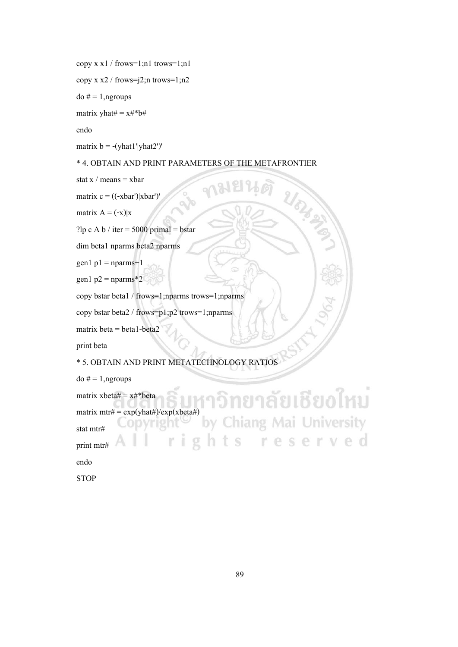copy x x1 / frows=1;n1 trows=1;n1

```
copy x \times 2 / frows=i;n trows=1; n2
```
 $do # = 1, ngroups$ 

matrix yhat $# = x#^*b#$ 

endo

matrix  $b = -(yhat1'|yhat2')'$ 

#### \* 4. OBTAIN AND PRINT PARAMETERS OF THE METAFRONTIER

RIS ON

stat  $x /$  means = xbar

matrix  $c = ((-\text{rbar})| \text{xbar})'$ 

matrix  $A = (-x)|x|$ 

?lp c A b / iter =  $5000$  primal = bstar

dim beta1 nparms beta2 nparms

 $gen1 p1 = nparms + 1$ 

gen1  $p2 = nparms*2$ 

copy bstar beta1 / frows=1;nparms trows=1;nparms

copy bstar beta2 / frows=p1;p2 trows=1;nparms

matrix beta  $=$  beta  $1$ -beta $2$ 

print beta

\* 5. OBTAIN AND PRINT METATECHNOLOGY RATIOS

do  $# = 1$ , ngroups

ยงไหม matrix  $x$ beta $# = x#^*$ beta matrix  $mtr\# = \exp(\text{yhat}\#)/\exp(\text{xbeta}\#)$ niversity stat mtr# e d print mtr# endo

**STOP**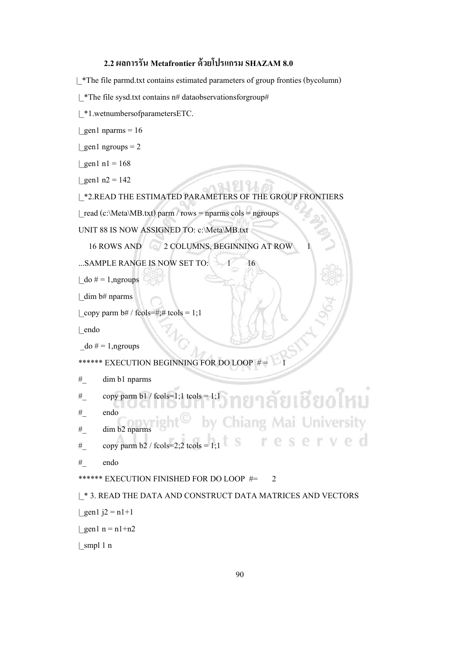# **2.2 ผลการรัน Metafrontier ด้วยโปรแกรม SHAZAM 8.0**

|\_\*The file parmd.txt contains estimated parameters of group fronties (bycolumn)

```
|_*The file sysd.txt contains n# dataobservationsforgroup#
```
| \*1.wetnumbersofparametersETC.

| gen1 nparms =  $16$ 

```
| gen1 ngroups = 2
```
| gen1 n1 =  $168$ 

| gen1 n2 =  $142$ 

```
|_*2.READ THE ESTIMATED PARAMETERS OF THE GROUP FRONTIERS
```
21891

| read (c:\Meta\MB.txt) parm / rows = nparms cols = ngroups

UNIT 88 IS NOW ASSIGNED TO: c:\Meta\MB.txt

16 ROWS AND 2 COLUMNS, BEGINNING AT ROW

...SAMPLE RANGE IS NOW SET TO:  $-1$  16

```
\lfloor do \# = 1, ngroups
```
|\_dim b# nparms

```
| copy parm b# / fcols=#;# tcols = 1;1
```
|\_endo

```
\phi = 1, ngroups
```

```
****** EXECUTION BEGINNING FOR DO LOOP # = 1
```

```
#_ dim b1 nparms
```

```
ัยเชียงใหม่
# copy parm b1 / fcols=1;1 tcols = 1;1
```
#\_ endo

```
#_ dim b2 nparms
```
 $\#$  copy parm b2 / fcols=2;2 tcols = 1;1

```
#_ endo
```
\*\*\*\*\*\* EXECUTION FINISHED FOR DO LOOP #= 2

## |\_\* 3. READ THE DATA AND CONSTRUCT DATA MATRICES AND VECTORS

| gen1  $j2 = n1+1$ 

| gen1 n = n1+n2

|\_smpl 1 n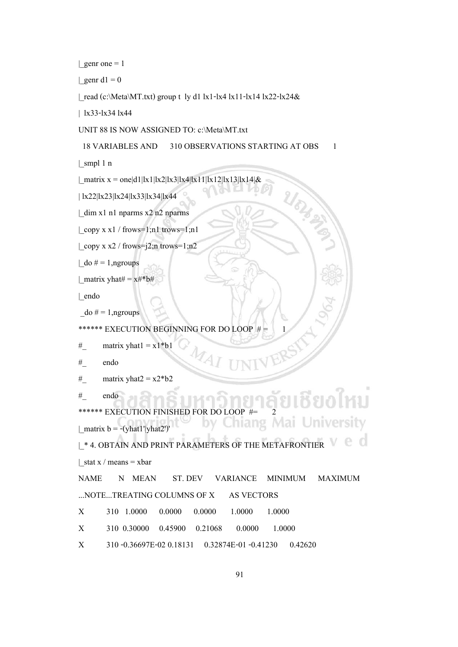| genr one  $= 1$ 

| genr d $1 = 0$ 

| read (c:\Meta\MT.txt) group t ly d1 lx1-lx4 lx11-lx14 lx22-lx24 $\&$ 

| lx33-lx34 lx44

UNIT 88 IS NOW ASSIGNED TO: c:\Meta\MT.txt

18 VARIABLES AND 310 OBSERVATIONS STARTING AT OBS 1

URA 2N

 $|$  smpl 1 n

| matrix x = one|d1|lx1|lx2|lx3|lx4|lx11|lx12|lx13|lx14|&

| lx22|lx23|lx24|lx33|lx34|lx44

|\_dim x1 n1 nparms x2 n2 nparms

|\_copy x x1 / frows=1;n1 trows=1;n1

|\_copy x x2 / frows=j2;n trows=1;n2

 $\lfloor$  do  $\# = 1$ , ngroups

| matrix yhat#  $= x#^*b#$ 

|\_endo

```
\phi = 1, ngroups
```
\*\*\*\*\*\* EXECUTION BEGINNING FOR DO LOOP # = 1

- # matrix yhat $1 = x1 * b1$
- #\_ endo
- # matrix yhat $2 = x2 * b2$
- #\_ endo

\*\*\*\*\*\* EXECUTION FINISHED FOR DO LOOP  $\text{\_}matrix b = -( \text{what1'} \text{lyhat2'})'$  $\Omega$ |\_\* 4. OBTAIN AND PRINT PARAMETERS OF THE METAFRONTIER | stat x / means = xbar

NAME N MEAN ST. DEV VARIANCE MINIMUM MAXIMUM ...NOTE...TREATING COLUMNS OF X AS VECTORS

- X 310 1.0000 0.0000 0.0000 1.0000 1.0000
- X 310 0.30000 0.45900 0.21068 0.0000 1.0000
- X 310 -0.36697E-02 0.18131 0.32874E-01 -0.41230 0.42620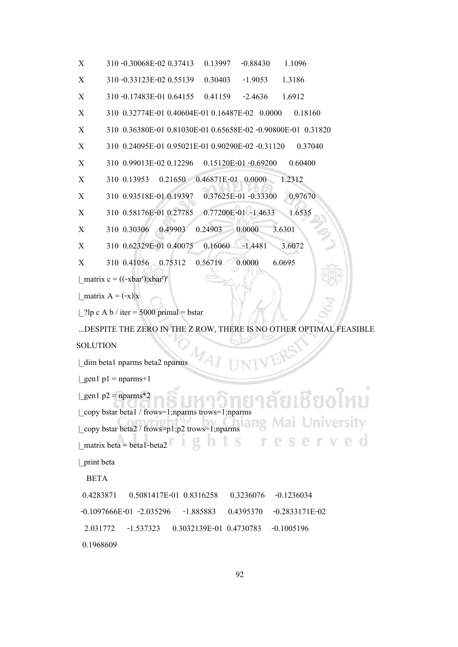```
X 310 -0.30068E-02 0.37413 0.13997 -0.88430 1.1096
X 310 -0.33123E-02 0.55139 0.30403 -1.9053 1.3186
X 310 -0.17483E-01 0.64155 0.41159 -2.4636 1.6912
X 310 0.32774E-01 0.40604E-01 0.16487E-02 0.0000 0.18160
X 310 0.36380E-01 0.81030E-01 0.65658E-02 -0.90800E-01 0.31820
X 310 0.24095E-01 0.95021E-01 0.90290E-02 -0.31120 0.37040
X 310 0.99013E-02 0.12296 0.15120E-01 -0.69200 0.60400
X 310 0.13953 0.21650 0.46871E-01 0.0000 1.2312
X 310 0.93518E-01 0.19397 0.37625E-01 -0.33300 0.97670
X 310 0.58176E-01 0.27785 0.77200E-01 -1.4633 1.6535
X 310 0.30306 0.49903 0.24903 0.0000 3.6301
X 310 0.62329E-01 0.40075 0.16060 -1.4481 3.6072
X 310 0.41056 0.75312 0.56719 0.0000 6.0695
| matrix c = ((-\bar{x}bar')|xbar')'| matrix A = (-x)|x|| ?lp c A b / iter = 5000 primal = bstar
...DESPITE THE ZERO IN THE Z ROW, THERE IS NO OTHER OPTIMAL FEASIBLE 
SOLUTION
|_dim beta1 nparms beta2 nparms
| gen1 p1 = nparms+1
| gen1 p2 = nparms*2
|_copy bstar beta1 / frows=1;nparms trows=1;nparms
|_copy bstar beta2 / frows=p1;p2 trows=1;nparms
| matrix beta = beta1-beta2
|_print beta
   BETA
  0.4283871 0.5081417E-01 0.8316258 0.3236076 -0.1236034
 -0.1097666E-01 -2.035296 -1.885883 0.4395370 -0.2833171E-02
  2.031772 -1.537323 0.3032139E-01 0.4730783 -0.1005196
  0.1968609
```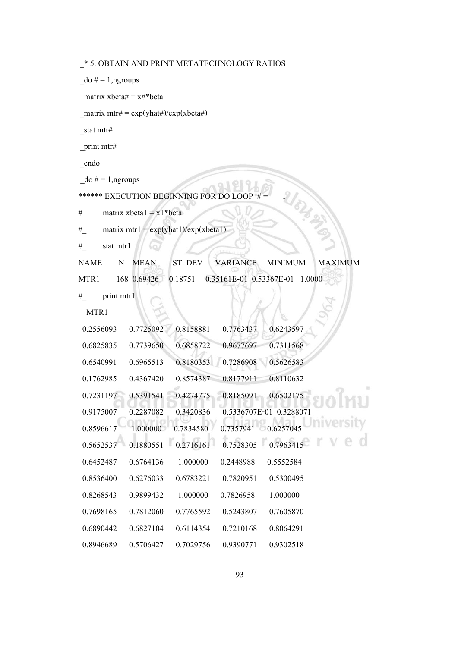|\_\* 5. OBTAIN AND PRINT METATECHNOLOGY RATIOS

 $\vert$  do  $\# = 1$ ,ngroups

| matrix xbeta $# = x#^*$ beta

 $\text{matrix mtr} \# = \exp(\text{yhat}\#)/\exp(\text{xbeta}\#)$ 

|\_stat mtr#

|\_print mtr#

|\_endo

 $\phi = 1$ , ngroups

\*\*\*\*\*\* EXECUTION BEGINNING FOR DO LOOP  $# = 1$ 

# matrix  $xbeta = x1 * beta$ 

 $\#$  matrix mtr1 = exp(yhat1)/exp(xbeta1)

 $#$  stat mtrl

NAME N MEAN ST. DEV VARIANCE MINIMUM MAXIMUM

MTR1 168 0.69426 0.18751 0.35161E-01 0.53367E-01 1.0000

 $#$  print mtr1

MTR1

| 0.2556093 | 0.7725092 | 0.8158881 | 0.7763437 | 0.6243597               |
|-----------|-----------|-----------|-----------|-------------------------|
| 0.6825835 | 0.7739650 | 0.6858722 | 0.9677697 | 0.7311568               |
| 0.6540991 | 0.6965513 | 0.8180353 | 0.7286908 | 0.5626583               |
| 0.1762985 | 0.4367420 | 0.8574387 | 0.8177911 | 0.8110632               |
| 0.7231197 | 0.5391541 | 0.4274775 | 0.8185091 | 0.6502175               |
| 0.9175007 | 0.2287082 | 0.3420836 |           | 0.5336707E-01 0.3288071 |
| 0.8596617 | 1.000000  | 0.7834580 | 0.7357941 | 0.6257045               |
| 0.5652537 | 0.1880551 | 0.2716161 | 0.7528305 | 0.7963415               |
| 0.6452487 | 0.6764136 | 1.000000  | 0.2448988 | 0.5552584               |
| 0.8536400 | 0.6276033 | 0.6783221 | 0.7820951 | 0.5300495               |
| 0.8268543 | 0.9899432 | 1.000000  | 0.7826958 | 1.000000                |
| 0.7698165 | 0.7812060 | 0.7765592 | 0.5243807 | 0.7605870               |
| 0.6890442 | 0.6827104 | 0.6114354 | 0.7210168 | 0.8064291               |
| 0.8946689 | 0.5706427 | 0.7029756 | 0.9390771 | 0.9302518               |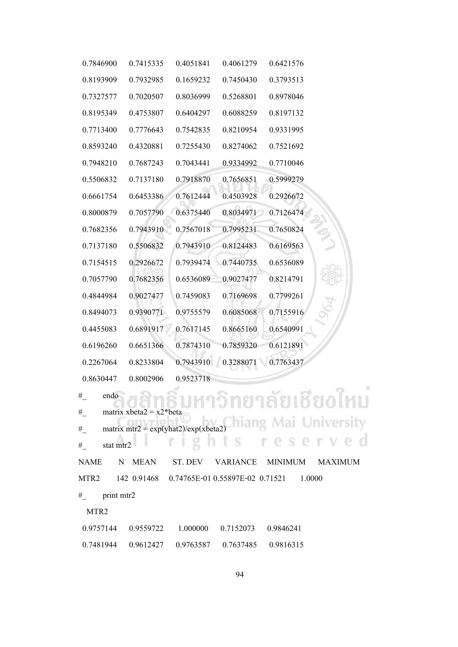| 0.7846900 | 0.7415335 | 0.4051841 | 0.4061279 | 0.6421576 |
|-----------|-----------|-----------|-----------|-----------|
| 0.8193909 | 0.7932985 | 0.1659232 | 0.7450430 | 0.3793513 |
| 0.7327577 | 0.7020507 | 0.8036999 | 0.5268801 | 0.8978046 |
| 0.8195349 | 0.4753807 | 0.6404297 | 0.6088259 | 0.8197132 |
| 0.7713400 | 0.7776643 | 0.7542835 | 0.8210954 | 0.9331995 |
| 0.8593240 | 0.4320881 | 0.7255430 | 0.8274062 | 0.7521692 |
| 0.7948210 | 0.7687243 | 0.7043441 | 0.9334992 | 0.7710046 |
| 0.5506832 | 0.7137180 | 0.7918870 | 0.7656851 | 0.5999279 |
| 0.6661754 | 0.6453386 | 0.7612444 | 0.4503928 | 0.2926672 |
| 0.8000879 | 0.7057790 | 0.6375440 | 0.8034971 | 0.7126474 |
| 0.7682356 | 0.7943910 | 0.7567018 | 0.7995231 | 0.7650824 |
| 0.7137180 | 0.5506832 | 0.7943910 | 0.8124483 | 0.6169563 |
| 0.7154515 | 0.2926672 | 0.7939474 | 0.7440735 | 0.6536089 |
| 0.7057790 | 0.7682356 | 0.6536089 | 0.9027477 | 0.8214791 |
| 0.4844984 | 0.9027477 | 0.7459083 | 0.7169698 | 0.7799261 |
| 0.8494073 | 0.9390771 | 0.9755579 | 0.6085068 | 0.7155916 |
| 0.4455083 | 0.6891917 | 0.7617145 | 0.8665160 | 0.6540991 |
| 0.6196260 | 0.6651366 | 0.7874310 | 0.7859320 | 0.6121891 |
| 0.2267064 | 0.8233804 | 0.7943910 | 0.3288071 | 0.7763437 |
| 0.8630447 | 0.8002906 | 0.9523718 |           |           |

```
# endo<br>
# matrix xbeta2 = x2*beta
#_ endo
#_ matrix mtr2 = exp(yhat2)/exp(xbeta2)
                                      erved
                   ghts res
\# stat mtr2
               r i
NAME N MEAN ST. DEV VARIANCE MINIMUM MAXIMUM
MTR2 142 0.91468 0.74765E-01 0.55897E-02 0.71521 1.0000
#_ print mtr2
 MTR2
 0.9757144 0.9559722 1.000000 0.7152073 0.9846241
 0.7481944 0.9612427 0.9763587 0.7637485 0.9816315
```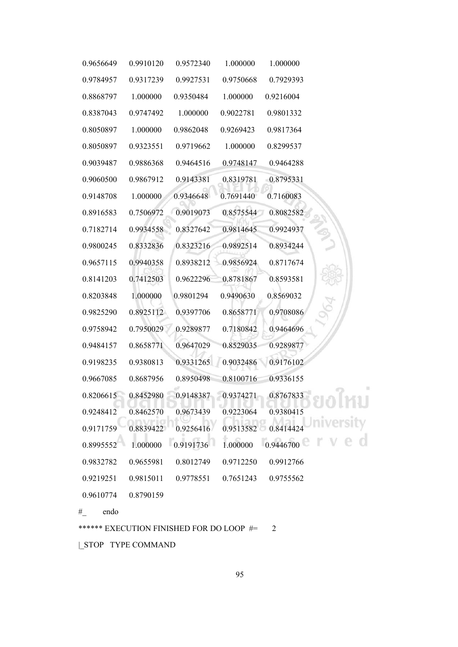| 0.9656649        | 0.9910120 | 0.9572340 | 1.000000  | 1.000000  |  |
|------------------|-----------|-----------|-----------|-----------|--|
| 0.9784957        | 0.9317239 | 0.9927531 | 0.9750668 | 0.7929393 |  |
| 0.8868797        | 1.000000  | 0.9350484 | 1.000000  | 0.9216004 |  |
| 0.8387043        | 0.9747492 | 1.000000  | 0.9022781 | 0.9801332 |  |
| 0.8050897        | 1.000000  | 0.9862048 | 0.9269423 | 0.9817364 |  |
| 0.8050897        | 0.9323551 | 0.9719662 | 1.000000  | 0.8299537 |  |
| 0.9039487        | 0.9886368 | 0.9464516 | 0.9748147 | 0.9464288 |  |
| 0.9060500        | 0.9867912 | 0.9143381 | 0.8319781 | 0.8795331 |  |
| 0.9148708        | 1.000000  | 0.9346648 | 0.7691440 | 0.7160083 |  |
| 0.8916583        | 0.7506972 | 0.9019073 | 0.8575544 | 0.8082582 |  |
| 0.7182714        | 0.9934558 | 0.8327642 | 0.9814645 | 0.9924937 |  |
| 0.9800245        | 0.8332836 | 0.8323216 | 0.9892514 | 0.8934244 |  |
| 0.9657115        | 0.9940358 | 0.8938212 | 0.9856924 | 0.8717674 |  |
| 0.8141203        | 0.7412503 | 0.9622296 | 0.8781867 | 0.8593581 |  |
| 0.8203848        | 1.000000  | 0.9801294 | 0.9490630 | 0.8569032 |  |
| 0.9825290        | 0.8925112 | 0.9397706 | 0.8658771 | 0.9708086 |  |
| 0.9758942        | 0.7950029 | 0.9289877 | 0.7180842 | 0.9464696 |  |
| 0.9484157        | 0.8658771 | 0.9647029 | 0.8529035 | 0.9289877 |  |
| 0.9198235        | 0.9380813 | 0.9331265 | 0.9032486 | 0.9176102 |  |
| 0.9667085        | 0.8687956 | 0.8950498 | 0.8100716 | 0.9336155 |  |
| 0.8206615        | 0.8452980 | 0.9148387 | 0.9374271 | 0.8767833 |  |
| 0.9248412        | 0.8462570 | 0.9673439 | 0.9223064 | 0.9380415 |  |
| 0.9171759        | 0.8839422 | 0.9256416 | 0.9513582 | 0.8414424 |  |
| 0.8995552        | 1.000000  | 0.9191736 | 1.000000  | 0.9446700 |  |
| 0.9832782        | 0.9655981 | 0.8012749 | 0.9712250 | 0.9912766 |  |
| 0.9219251        | 0.9815011 | 0.9778551 | 0.7651243 | 0.9755562 |  |
| 0.9610774        | 0.8790159 |           |           |           |  |
| endo<br>$#_{\_}$ |           |           |           |           |  |

|\_STOP TYPE COMMAND

\*\*\*\*\*\* EXECUTION FINISHED FOR DO LOOP #= 2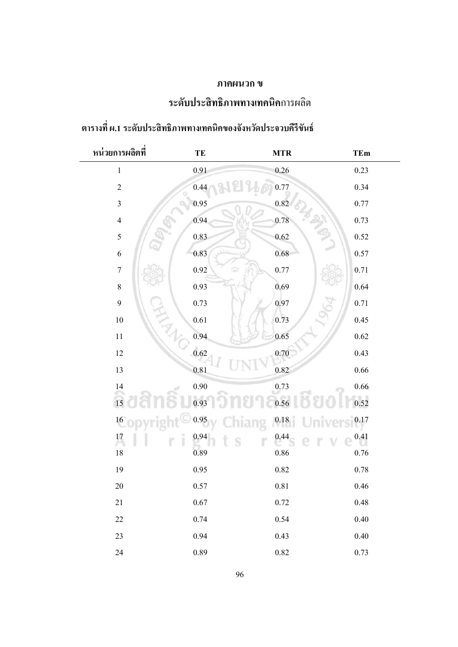# **ภาคผนวก ข**

# **ระดับประสิทธิภาพทางเทคนิค**การผลิต

| หน่วยการผลิตที่ | TE       | <b>MTR</b> | TEm      |
|-----------------|----------|------------|----------|
| $\,1\,$         | 0.91     | 0.26       | 0.23     |
| $\overline{2}$  | 0.44     | 0.77       | 0.34     |
| $\mathfrak{Z}$  | 0.95     | 0.82       | 0.77     |
| $\overline{4}$  | 0.94     | 0.78       | 0.73     |
| $\sqrt{5}$      | 0.83     | $0.62\,$   | 0.52     |
| $\sqrt{6}$      | 0.83     | 0.68       | 0.57     |
| $\sqrt{ }$      | 0.92     | $0.77\,$   | $0.71\,$ |
| $\,$ $\,$       | 0.93     | 0.69       | 0.64     |
| $\mathbf{9}$    | 0.73     | 0.97       | $0.71\,$ |
| 10              | 0.61     | 0.73       | 0.45     |
| $11\,$          | 0.94     | 0.65       | $0.62\,$ |
| $12\,$          | 0.62     | 0.70       | 0.43     |
| 13              | 0.81     | 0.82       | $0.66\,$ |
| 14              | $0.90\,$ | 0.73       | $0.66\,$ |
| 15              | 0.93     | 0.56       | 0.52     |
| 16 <sub>1</sub> | 0.95     | 0.18       | 0.17     |
| 17              | 0.94     | 0.44       | 0.41     |
| $18\,$          | 0.89     | $0.86\,$   | 0.76     |
| 19              | 0.95     | $0.82\,$   | $0.78\,$ |
| 20              | 0.57     | 0.81       | $0.46\,$ |
| 21              | $0.67\,$ | 0.72       | $0.48\,$ |
| 22              | 0.74     | 0.54       | 0.40     |
| 23              | 0.94     | 0.43       | $0.40\,$ |
| 24              | 0.89     | $0.82\,$   | 0.73     |

# **ตารางที่ ผ.1 ระดับประสิทธิภาพทางเทคนิคของจังหวัดประจวบคีรีขันธ์**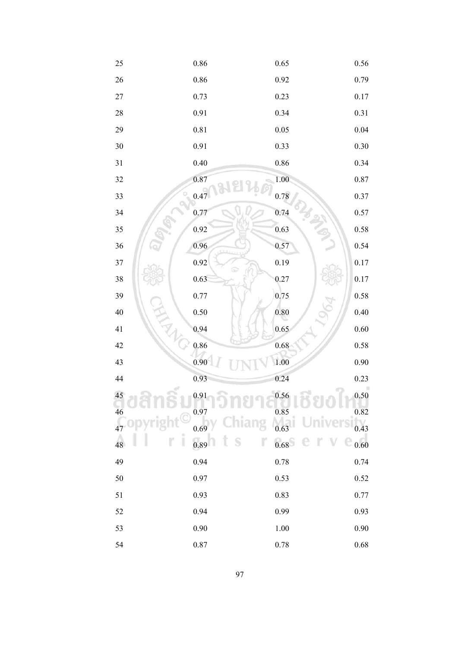| 25         | $0.86\,$ | 0.65     | $0.56\,$ |
|------------|----------|----------|----------|
| 26         | $0.86\,$ | 0.92     | 0.79     |
| $27\,$     | 0.73     | 0.23     | 0.17     |
| $28\,$     | 0.91     | 0.34     | 0.31     |
| 29         | $0.81\,$ | 0.05     | 0.04     |
| 30         | 0.91     | 0.33     | 0.30     |
| 31         | 0.40     | 0.86     | 0.34     |
| 32         | 0.87     | 1.00     | 0.87     |
| 33         | 0.47     | 0.78     | 0.37     |
| 34         | 0.77     | 0.74     | 0.57     |
| 35         | 0.92     | 0.63     | $0.58\,$ |
| 36         | 0.96     | 0.57     | 0.54     |
| 37         | 0.92     | 0.19     | 0.17     |
| 38         | 0.63     | 0.27     | 0.17     |
| 39         | 0.77     | 0.75     | 0.58     |
| 40<br>ANT- | 0.50     | $0.80\,$ | $0.40\,$ |
| 41         | 0.94     | 0.65     | 0.60     |
| 42         | 0.86     | 0.68     | 0.58     |
| 43         | 0.90     | 1.00     | 0.90     |
| 44         | 0.93     | 0.24     | 0.23     |
| 45         | 0.91     | 0.56     | $0.50\,$ |
| 46         | 0.97     | 0.85     | 0.82     |
| 47         | 0.69     | 0.63     | 0.43     |
| 48         | 0.89     | 0.68     | 0.60     |
| 49         | 0.94     | 0.78     | 0.74     |
| 50         | 0.97     | 0.53     | 0.52     |
| 51         | 0.93     | 0.83     | 0.77     |
| 52         | 0.94     | 0.99     | 0.93     |
| 53         | 0.90     | 1.00     | 0.90     |
| 54         | $0.87\,$ | $0.78\,$ | $0.68\,$ |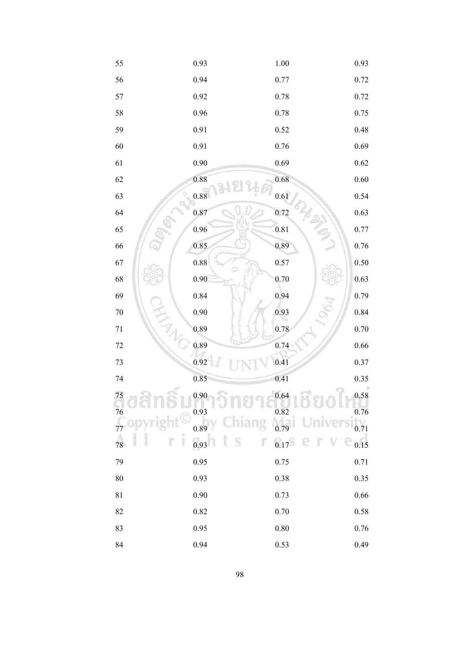| 55           | 0.93     | $1.00\,$ | 0.93     |
|--------------|----------|----------|----------|
| 56           | 0.94     | 0.77     | 0.72     |
| 57           | 0.92     | 0.78     | 0.72     |
| 58           | 0.96     | 0.78     | 0.75     |
| 59           | 0.91     | 0.52     | $0.48\,$ |
| 60           | 0.91     | 0.76     | 0.69     |
| 61           | 0.90     | 0.69     | 0.62     |
| 62           | 0.88     | 0.68     | $0.60\,$ |
| 63           | 0.88     | 0.61     | 0.54     |
| 64           | 0.87     | 0.72     | 0.63     |
| 65           | 0.96     | 0.81     | $0.77\,$ |
| 66           | 0.85     | 0.89     | $0.76\,$ |
| 67           | $0.88\,$ | 0.57     | 0.50     |
| 68           | 0.90     | 0.70     | 0.63     |
| 69           | 0.84     | 0.94     | 0.79     |
| $70\,$<br>H. | 0.90     | 0.93     | $0.84\,$ |
| $71\,$       | 0.89     | 0.78     | $0.70\,$ |
| $72\,$       | 0.89     | 0.74     | $0.66\,$ |
| 73           | 0.92     | 0.41     | 0.37     |
| 74           | 0.85     | 0.41     | 0.35     |
| 75           | 0.90     | 0.64     | 0.58     |
| 76           | 0.93     | 0.82     | 0.76     |
|              | 0.89     | 0.79     | 0.71     |
| 78           | 0.93     | 0.17     | 0.15     |
| 79           | 0.95     | 0.75     | 0.71     |
| 80           | 0.93     | 0.38     | 0.35     |
| 81           | 0.90     | 0.73     | 0.66     |
| 82           | 0.82     | 0.70     | 0.58     |
| 83           | 0.95     | $0.80\,$ | 0.76     |
| 84           | 0.94     | 0.53     | 0.49     |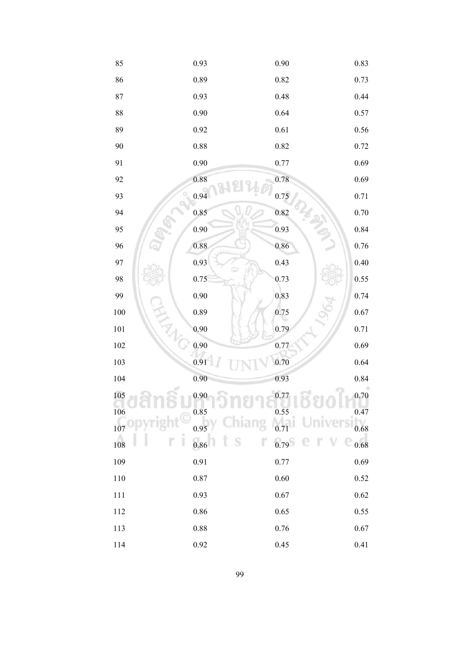| 85              | 0.93 | 0.90 | 0.83     |
|-----------------|------|------|----------|
| 86              | 0.89 | 0.82 | 0.73     |
| 87              | 0.93 | 0.48 | 0.44     |
| 88              | 0.90 | 0.64 | 0.57     |
| 89              | 0.92 | 0.61 | $0.56\,$ |
| 90              | 0.88 | 0.82 | 0.72     |
| 91              | 0.90 | 0.77 | 0.69     |
| 92              | 0.88 | 0.78 | 0.69     |
| 93              | 0.94 | 0.75 | 0.71     |
| 94              | 0.85 | 0.82 | $0.70\,$ |
| 95              | 0.90 | 0.93 | $0.84\,$ |
| 96              | 0.88 | 0.86 | $0.76\,$ |
| 97              | 0.93 | 0.43 | 0.40     |
| 98              | 0.75 | 0.73 | 0.55     |
| 99              | 0.90 | 0.83 | 0.74     |
| $100\,$<br>H. M | 0.89 | 0.75 | $0.67\,$ |
| 101             | 0.90 | 0.79 | 0.71     |
| $102\,$         | 0.90 | 0.77 | 0.69     |
| 103             | 0.91 | 0.70 | 0.64     |
| 104             | 0.90 | 0.93 | $0.84\,$ |
| 105             | 0.90 | 0.77 | $0.70\,$ |
| 106             | 0.85 | 0.55 | 0.47     |
| 107             | 0.95 |      | 0.68     |
| 108             | 0.86 | 0.79 | 0.68     |
| 109             | 0.91 | 0.77 | 0.69     |
| 110             | 0.87 | 0.60 | 0.52     |
| 111             | 0.93 | 0.67 | 0.62     |
| 112             | 0.86 | 0.65 | 0.55     |
| 113             | 0.88 | 0.76 | 0.67     |
| $114\,$         | 0.92 | 0.45 | 0.41     |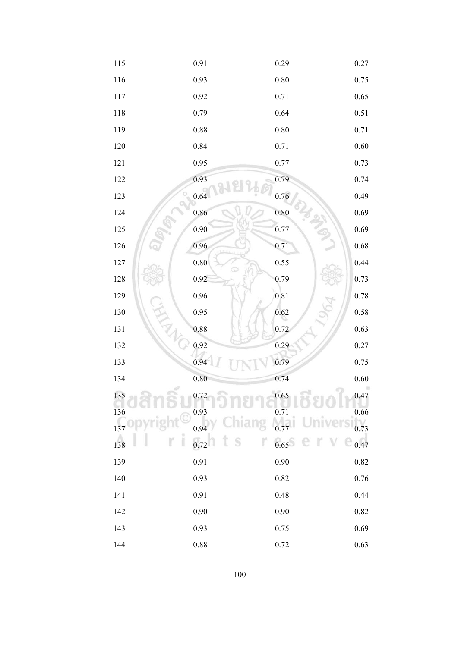| 115          | 0.91     | 0.29     | 0.27     |
|--------------|----------|----------|----------|
| 116          | 0.93     | $0.80\,$ | 0.75     |
| 117          | 0.92     | 0.71     | 0.65     |
| 118          | 0.79     | 0.64     | 0.51     |
| 119          | $0.88\,$ | $0.80\,$ | $0.71\,$ |
| 120          | 0.84     | 0.71     | $0.60\,$ |
| 121          | 0.95     | 0.77     | 0.73     |
| 122          | 0.93     | 0.79     | 0.74     |
| 123          | 0.64     | 0.76     | 0.49     |
| 124          | 0.86     | 0.80     | 0.69     |
| 125          | 0.90     | 0.77     | 0.69     |
| $126\,$      | 0.96     | 0.71     | $0.68\,$ |
| $127\,$      | $0.80\,$ | 0.55     | 0.44     |
| 128          | 0.92     | 0.79     | 0.73     |
| 129          | 0.96     | 0.81     | 0.78     |
| 130<br>N. W. | 0.95     | 0.62     | $0.58\,$ |
| 131          | 0.88     | 0.72     | 0.63     |
| 132          | 0.92     | 0.29     | 0.27     |
| 133          | 0.94     | 0.79     | 0.75     |
| 134          | 0.80     | 0.74     | 0.60     |
| 135          | 0.72     | 0.65     | 0.47     |
| 136          | 0.93     | 0.71     | 0.66     |
| 137          | 0.94     |          | 0.73     |
| 138          | 0.72     | 0.65     | 0.47     |
| 139          | 0.91     | 0.90     | $0.82\,$ |
| 140          | 0.93     | 0.82     | 0.76     |
| 141          | 0.91     | 0.48     | 0.44     |
| 142          | 0.90     | 0.90     | 0.82     |
| 143          | 0.93     | 0.75     | 0.69     |
| 144          | 0.88     | 0.72     | 0.63     |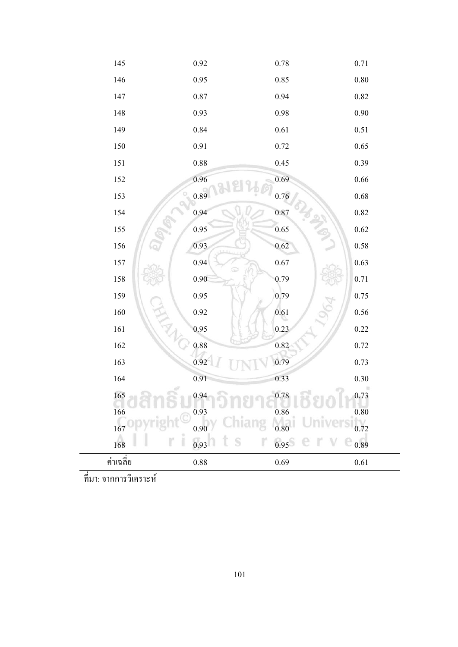

ที่มา: จากการวิเคราะห์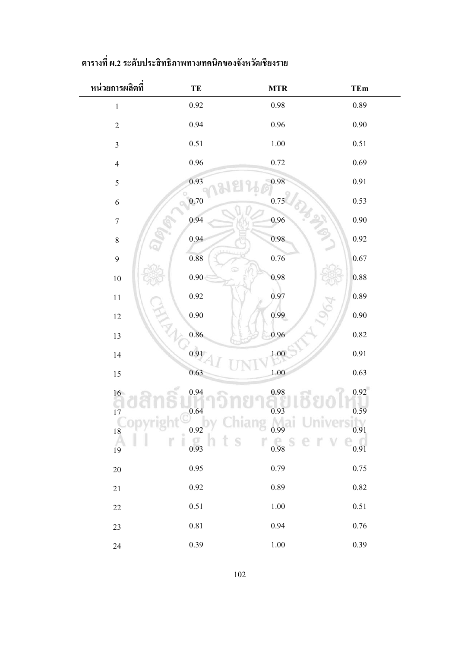| หน่วยการผลิตที   | TE                                     | <b>MTR</b>                   | TEm      |
|------------------|----------------------------------------|------------------------------|----------|
| $\,1$            | $0.92\,$                               | $0.98\,$                     | 0.89     |
| $\overline{2}$   | 0.94                                   | $0.96\,$                     | 0.90     |
| $\overline{3}$   | 0.51                                   | $1.00\,$                     | 0.51     |
| $\overline{4}$   | $0.96\,$                               | 0.72                         | 0.69     |
| 5                | 0.93                                   | 0.98                         | $0.91\,$ |
| $\sqrt{6}$       | $0.70\,$                               | 0.75                         | 0.53     |
| $\boldsymbol{7}$ | 0.94                                   | 0.96                         | $0.90\,$ |
| $\,8\,$          | 0.94                                   | 0.98                         | 0.92     |
| 9                | $\rm 0.88$                             | 0.76                         | 0.67     |
| $10\,$           | $0.90\,$                               | 0.98                         | 0.88     |
| $11\,$           | $0.92\,$                               | 0.97                         | 0.89     |
| $12\,$           | 0.90                                   | 0.99                         | $0.90\,$ |
| 13               | 0.86                                   | 0.96                         | 0.82     |
| 14               | 0.91                                   | 1.00                         | $0.91\,$ |
| $15\,$           | 0.63                                   | $1.00\,$                     | 0.63     |
|                  | 0.94                                   | 0.98                         | 0.92     |
| $\frac{16}{17}$  | 0.64                                   | 0.93                         | 0.59     |
| 18<br>O          | 0.92<br>$\stackrel{\circ}{\mathbb{I}}$ | 0.99                         | 0.91     |
| 19               | 0.93<br>ts                             | r<br>$\frac{1}{0.98}$<br>e r | 0.91     |
| 20               | 0.95                                   | 0.79                         | 0.75     |
| 21               | 0.92                                   | 0.89                         | 0.82     |
| 22               | 0.51                                   | 1.00                         | 0.51     |
| 23               | 0.81                                   | 0.94                         | 0.76     |
| 24               | 0.39                                   | $1.00\,$                     | 0.39     |

# **ตารางที่ ผ.2ระดับประสิทธิภาพทางเทคนิคของจังหวัดเชียงราย**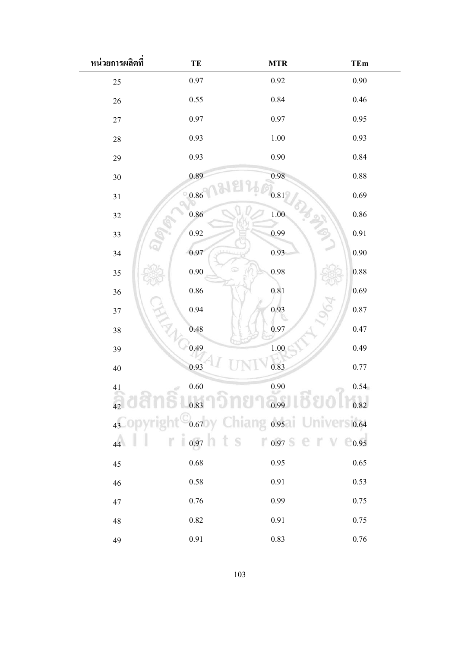| หน่วยการผลิตที  | TE       | <b>MTR</b>                                              | <b>TEm</b> |
|-----------------|----------|---------------------------------------------------------|------------|
| 25              | 0.97     | 0.92                                                    | 0.90       |
| 26              | 0.55     | 0.84                                                    | 0.46       |
| 27              | 0.97     | 0.97                                                    | 0.95       |
| 28              | 0.93     | 1.00                                                    | 0.93       |
| 29              | 0.93     | 0.90                                                    | 0.84       |
| 30              | 0.89     | 0.98                                                    | 0.88       |
| 31              | $0.86\,$ | $0.81\,$                                                | 0.69       |
| 32              | 0.86     | 1.00                                                    | $0.86\,$   |
| 33              | 0.92     | 0.99                                                    | 0.91       |
| 34              | 0.97     | 0.93                                                    | 0.90       |
| 35              | 0.90     | 0.98                                                    | 0.88       |
| 36              | $0.86\,$ | 0.81                                                    | 0.69       |
| 37              | 0.94     | 0.93                                                    | 0.87       |
| 38              | 0.48     | 0.97                                                    | 0.47       |
| 39              | 0.49     | $1.00\,$                                                | 0.49       |
| 40              | 0.93     | 0.83                                                    | 0.77       |
| 41              | $0.60\,$ | 0.90                                                    | 0.54       |
|                 |          | 42 0 10 0.83 0 10 0.99 0 0.82                           |            |
|                 |          | 43 ODyright <sup>O</sup> 0.67by Chiang 0.95 Universites |            |
| $\overline{44}$ |          | $\mathbb{R}$ 1 0.97 h t S 1 0.97 S e T V                | $_{0.95}$  |
| 45              | $0.68\,$ | 0.95                                                    | 0.65       |
| 46              | 0.58     | 0.91                                                    | 0.53       |
| 47              | 0.76     | 0.99                                                    | 0.75       |
| 48              | 0.82     | 0.91                                                    | 0.75       |
| 49              | 0.91     | 0.83                                                    | 0.76       |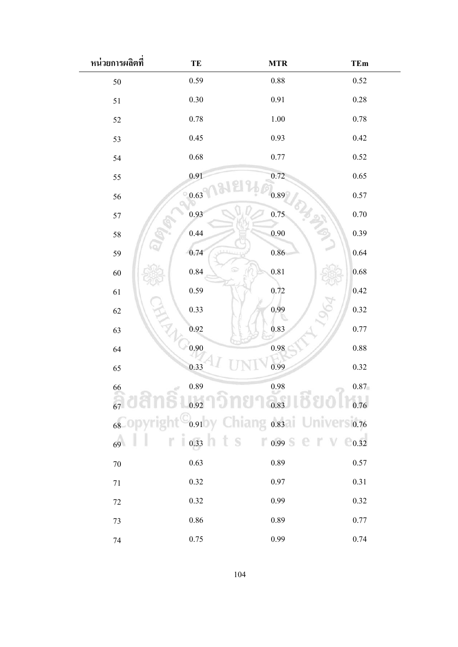| หน่วยการผลิตที | TE       | <b>MTR</b>                                                          | <b>TEm</b> |
|----------------|----------|---------------------------------------------------------------------|------------|
| 50             | 0.59     | 0.88                                                                | 0.52       |
| 51             | 0.30     | 0.91                                                                | 0.28       |
| 52             | 0.78     | $1.00\,$                                                            | 0.78       |
| 53             | 0.45     | 0.93                                                                | 0.42       |
| 54             | $0.68\,$ | 0.77                                                                | 0.52       |
| 55             | 0.91     | 0.72                                                                | 0.65       |
| 56             | 0.63     | 0.89                                                                | 0.57       |
| 57             | 0.93     | 0.75                                                                | 0.70       |
| 58             | 0.44     | 0.90                                                                | 0.39       |
| 59             | 0.74     | 0.86                                                                | 0.64       |
| 60             | 0.84     | 0.81                                                                | 0.68       |
| 61             | 0.59     | 0.72                                                                | 0.42       |
| 62             | 0.33     | 0.99                                                                | 0.32       |
| 63             | 0.92     | 0.83                                                                | 0.77       |
| 64             | 0.90     | $\rm 0.98$                                                          | 0.88       |
| 65             | 0.33     | 0.99                                                                | 0.32       |
| 66             | 0.89     | 0.98                                                                | 0.87       |
|                |          | $_{67}$ consider $_{0.92}$ and the $_{0.83}$ consider $_{0.76}$     |            |
|                |          | 68 Opyright <sup>C</sup> <sub>0.91</sub> by Chiang 0.83 University, |            |
|                |          | 69 0.33 1 5 0.99 S 8 V $0.32$                                       |            |
| $70\,$         | 0.63     | 0.89                                                                | 0.57       |
| $71\,$         | 0.32     | 0.97                                                                | 0.31       |
| $72\,$         | 0.32     | 0.99                                                                | 0.32       |
| 73             | $0.86\,$ | 0.89                                                                | 0.77       |
| 74             | 0.75     | 0.99                                                                | 0.74       |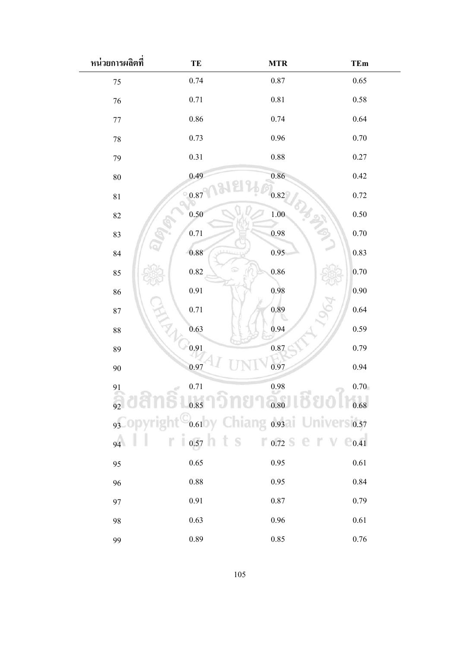| หน่วยการผลิตที | TE       | <b>MTR</b>                                                            | <b>TEm</b> |
|----------------|----------|-----------------------------------------------------------------------|------------|
| 75             | 0.74     | 0.87                                                                  | 0.65       |
| 76             | 0.71     | $0.81\,$                                                              | 0.58       |
| $77 \,$        | $0.86\,$ | 0.74                                                                  | 0.64       |
| 78             | 0.73     | 0.96                                                                  | 0.70       |
| 79             | 0.31     | 0.88                                                                  | 0.27       |
| 80             | 0.49     | 0.86                                                                  | 0.42       |
| 81             | 0.87     | 0.82                                                                  | 0.72       |
| 82             | 0.50     | 1.00                                                                  | 0.50       |
| 83             | $0.71\,$ | 0.98                                                                  | 0.70       |
| 84             | 0.88     | 0.95                                                                  | 0.83       |
| 85             | $0.82\,$ | 0.86                                                                  | 0.70       |
| 86             | 0.91     | 0.98                                                                  | 0.90       |
| 87             | 0.71     | 0.89                                                                  | 0.64       |
| 88             | 0.63     | 0.94                                                                  | 0.59       |
| 89             | 0.91     | $0.87\,$                                                              | 0.79       |
| 90             | 0.97     | 0.97                                                                  | 0.94       |
| 91             | $0.71\,$ | $\rm 0.98$                                                            | 0.70       |
|                |          | $_{92}$ and $_{0.85}$ and $_{0.80}$ and $_{0.80}$ and $_{0.68}$       |            |
|                |          | 93 Opyright <sup>O</sup> <sub>0.61</sub> by Chiang 0.93 University,57 |            |
| 94             |          | $10.57$ $15$ $0.72$ $5$ $1$ $1$ $0.641$                               |            |
| 95             | 0.65     | 0.95                                                                  | 0.61       |
| 96             | 0.88     | 0.95                                                                  | 0.84       |
| 97             | 0.91     | 0.87                                                                  | 0.79       |
| 98             | 0.63     | 0.96                                                                  | 0.61       |
| 99             | 0.89     | 0.85                                                                  | 0.76       |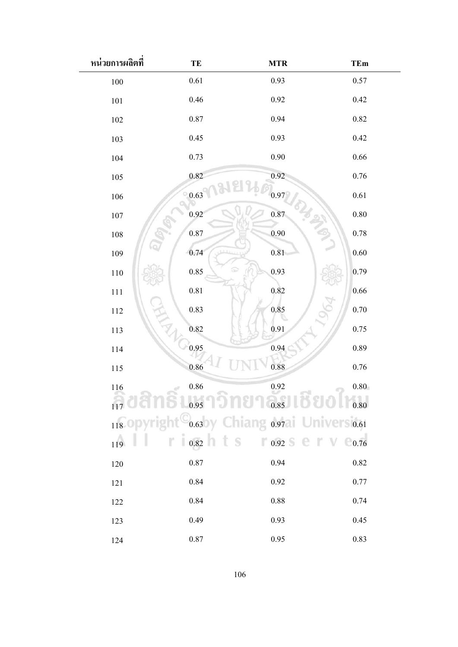| หน่วยการผลิตที่ | TE       | <b>MTR</b>                                                       | <b>TEm</b>                 |
|-----------------|----------|------------------------------------------------------------------|----------------------------|
| $100\,$         | $0.61\,$ | 0.93                                                             | 0.57                       |
| $101\,$         | 0.46     | 0.92                                                             | 0.42                       |
| 102             | $0.87\,$ | 0.94                                                             | 0.82                       |
| 103             | 0.45     | 0.93                                                             | 0.42                       |
| 104             | 0.73     | 0.90                                                             | 0.66                       |
| 105             | 0.82     | 0.92                                                             | 0.76                       |
| 106             | 0.63     | 0.97                                                             | 0.61                       |
| 107             | 0.92     | 0.87                                                             | 0.80                       |
| $108\,$         | 0.87     | 0.90                                                             | 0.78                       |
| 109             | 0.74     | 0.81                                                             | 0.60                       |
| $110\,$         | 0.85     | 0.93                                                             | 0.79                       |
| $111\,$         | $0.81\,$ | 0.82                                                             | 0.66                       |
| 112             | 0.83     | 0.85                                                             | 0.70                       |
| 113             | 0.82     | 0.91                                                             | 0.75                       |
| 114             | 0.95     | 0.94                                                             | 0.89                       |
| 115             | 0.86     | 0.88                                                             | 0.76                       |
| $116\,$         | $0.86\,$ | 0.92                                                             | 0.80                       |
|                 |          | $_{117}$ and $_{0.95}$ and $_{0.85}$ and $_{0.85}$ and $_{0.80}$ |                            |
|                 |          | 118 Opyright <sup>0</sup> 0.63 by Chiang 0.97 Universited        |                            |
| 119             |          | $r \mid_{0.82}$ h t S $r \mid_{0.92}$ s e r v                    | $\epsilon$ <sub>0.76</sub> |
| 120             | $0.87\,$ | 0.94                                                             | 0.82                       |
| $121\,$         | 0.84     | 0.92                                                             | 0.77                       |
| 122             | 0.84     | 0.88                                                             | 0.74                       |
| 123             | 0.49     | 0.93                                                             | 0.45                       |
| 124             | $0.87\,$ | 0.95                                                             | 0.83                       |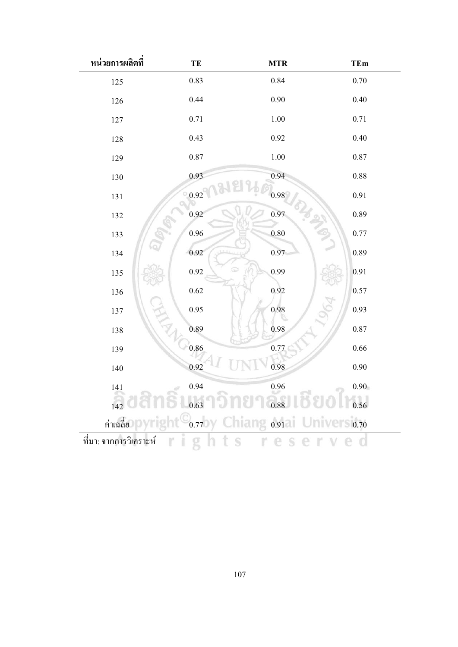| หน่วยการผลิตที         | TE       | <b>MTR</b> | <b>TEm</b>        |
|------------------------|----------|------------|-------------------|
| 125                    | 0.83     | 0.84       | 0.70              |
| 126                    | 0.44     | 0.90       | 0.40              |
| 127                    | $0.71\,$ | $1.00\,$   | 0.71              |
| 128                    | 0.43     | 0.92       | 0.40              |
| 129                    | 0.87     | $1.00\,$   | $0.87\,$          |
| 130                    | 0.93     | 0.94       | 0.88              |
| 131                    | 0.92     | 0.98       | 0.91              |
| 132                    | 0.92     | 0.97       | 0.89              |
| 133                    | 0.96     | $0.80\,$   | 0.77              |
| 134                    | 0.92     | 0.97       | 0.89              |
| 135                    | 0.92     | 0.99       | 0.91              |
| 136                    | 0.62     | 0.92       | 0.57              |
| 137                    | 0.95     | 0.98       | 0.93              |
| 138                    | 0.89     | 0.98       | 0.87              |
| 139                    | 0.86     | 0.77       | $0.66\,$          |
| 140                    | 0.92     | 0.98       | 0.90              |
| 141                    | 0.94     | 0.96       | 0.90 <sub>1</sub> |
| 142                    | 0.63     | 0.88       | 0.56              |
| ค่าเฉลี่ย              | 0.77     | 0.91       | 0.70              |
| ที่มา: จากการวิเคราะห์ |          |            |                   |